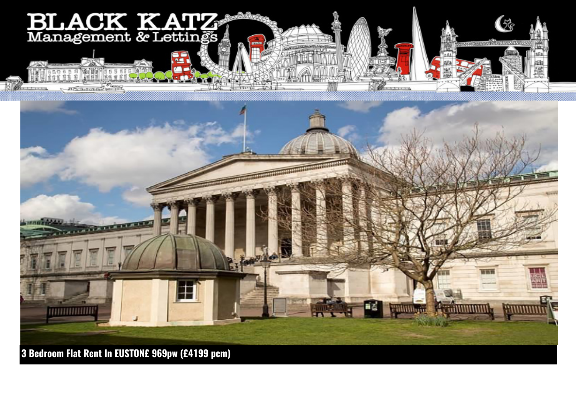



**3 Bedroom Flat Rent In EUSTON£ 969pw (£4199 pcm)**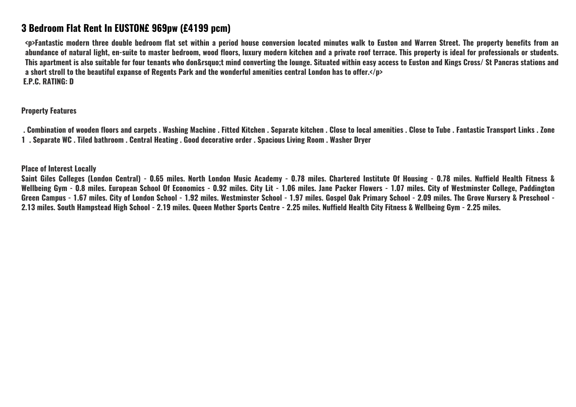## **3 Bedroom Flat Rent In EUSTON£ 969pw (£4199 pcm)**

**<p>Fantastic modern three double bedroom flat set within a period house conversion located minutes walk to Euston and Warren Street. The property benefits from an abundance of natural light, en-suite to master bedroom, wood floors, luxury modern kitchen and a private roof terrace. This property is ideal for professionals or students.** This apartment is also suitable for four tenants who don&rsquo:t mind converting the lounge. Situated within easy access to Euston and Kings Cross/ St Pancras stations and **a short stroll to the beautiful expanse of Regents Park and the wonderful amenities central London has to offer.</p> E.P.C. RATING: D**

**Property Features**

 **. Combination of wooden floors and carpets . Washing Machine . Fitted Kitchen . Separate kitchen . Close to local amenities . Close to Tube . Fantastic Transport Links . Zone 1 . Separate WC . Tiled bathroom . Central Heating . Good decorative order . Spacious Living Room . Washer Dryer**

**Place of Interest Locally**

**Saint Giles Colleges (London Central) - 0.65 miles. North London Music Academy - 0.78 miles. Chartered Institute Of Housing - 0.78 miles. Nuffield Health Fitness & Wellbeing Gym - 0.8 miles. European School Of Economics - 0.92 miles. City Lit - 1.06 miles. Jane Packer Flowers - 1.07 miles. City of Westminster College, Paddington Green Campus - 1.67 miles. City of London School - 1.92 miles. Westminster School - 1.97 miles. Gospel Oak Primary School - 2.09 miles. The Grove Nursery & Preschool - 2.13 miles. South Hampstead High School - 2.19 miles. Queen Mother Sports Centre - 2.25 miles. Nuffield Health City Fitness & Wellbeing Gym - 2.25 miles.**